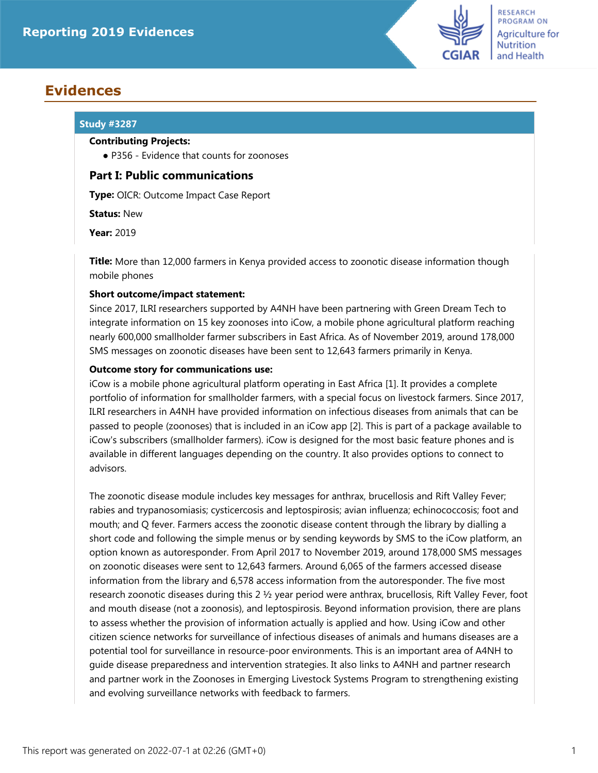

# **Evidences**

# **Study #3287**

## **Contributing Projects:**

● P356 - Evidence that counts for zoonoses

# **Part I: Public communications**

**Type:** OICR: Outcome Impact Case Report

## **Status:** New

**Year:** 2019

**Title:** More than 12,000 farmers in Kenya provided access to zoonotic disease information though mobile phones

# **Short outcome/impact statement:**

Since 2017, ILRI researchers supported by A4NH have been partnering with Green Dream Tech to integrate information on 15 key zoonoses into iCow, a mobile phone agricultural platform reaching nearly 600,000 smallholder farmer subscribers in East Africa. As of November 2019, around 178,000 SMS messages on zoonotic diseases have been sent to 12,643 farmers primarily in Kenya.

# **Outcome story for communications use:**

iCow is a mobile phone agricultural platform operating in East Africa [1]. It provides a complete portfolio of information for smallholder farmers, with a special focus on livestock farmers. Since 2017, ILRI researchers in A4NH have provided information on infectious diseases from animals that can be passed to people (zoonoses) that is included in an iCow app [2]. This is part of a package available to iCow's subscribers (smallholder farmers). iCow is designed for the most basic feature phones and is available in different languages depending on the country. It also provides options to connect to advisors.

The zoonotic disease module includes key messages for anthrax, brucellosis and Rift Valley Fever; rabies and trypanosomiasis; cysticercosis and leptospirosis; avian influenza; echinococcosis; foot and mouth; and Q fever. Farmers access the zoonotic disease content through the library by dialling a short code and following the simple menus or by sending keywords by SMS to the iCow platform, an option known as autoresponder. From April 2017 to November 2019, around 178,000 SMS messages on zoonotic diseases were sent to 12,643 farmers. Around 6,065 of the farmers accessed disease information from the library and 6,578 access information from the autoresponder. The five most research zoonotic diseases during this 2 ½ year period were anthrax, brucellosis, Rift Valley Fever, foot and mouth disease (not a zoonosis), and leptospirosis. Beyond information provision, there are plans to assess whether the provision of information actually is applied and how. Using iCow and other citizen science networks for surveillance of infectious diseases of animals and humans diseases are a potential tool for surveillance in resource-poor environments. This is an important area of A4NH to guide disease preparedness and intervention strategies. It also links to A4NH and partner research and partner work in the Zoonoses in Emerging Livestock Systems Program to strengthening existing and evolving surveillance networks with feedback to farmers.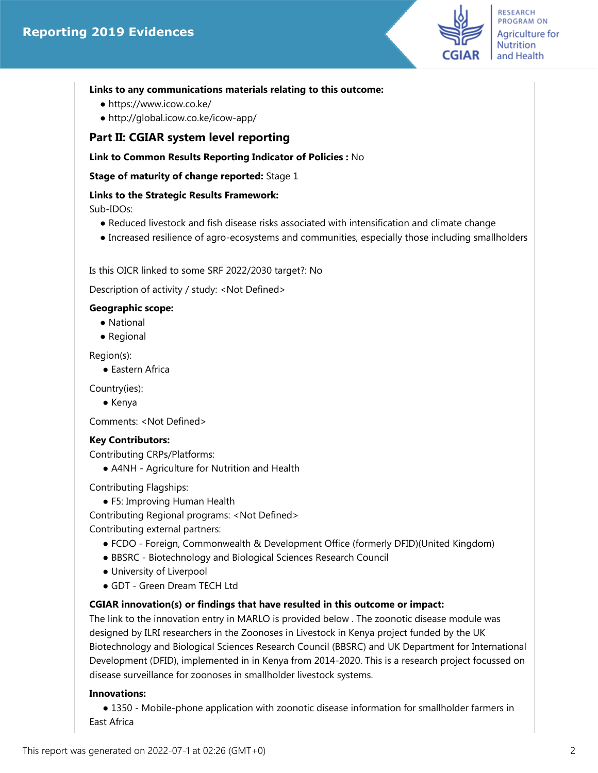

## **Links to any communications materials relating to this outcome:**

- https://www.icow.co.ke/
- http://global.icow.co.ke/icow-app/

# **Part II: CGIAR system level reporting**

#### **Link to Common Results Reporting Indicator of Policies :** No

**Stage of maturity of change reported:** Stage 1

#### **Links to the Strategic Results Framework:**

Sub-IDOs:

- Reduced livestock and fish disease risks associated with intensification and climate change
- Increased resilience of agro-ecosystems and communities, especially those including smallholders

Is this OICR linked to some SRF 2022/2030 target?: No

Description of activity / study: <Not Defined>

#### **Geographic scope:**

- National
- Regional

Region(s):

● Eastern Africa

Country(ies):

● Kenya

Comments: <Not Defined>

#### **Key Contributors:**

Contributing CRPs/Platforms:

● A4NH - Agriculture for Nutrition and Health

Contributing Flagships:

● F5: Improving Human Health

Contributing Regional programs: <Not Defined>

Contributing external partners:

- FCDO Foreign, Commonwealth & Development Office (formerly DFID)(United Kingdom)
- BBSRC Biotechnology and Biological Sciences Research Council
- University of Liverpool
- GDT Green Dream TECH Ltd

#### **CGIAR innovation(s) or findings that have resulted in this outcome or impact:**

The link to the innovation entry in MARLO is provided below . The zoonotic disease module was designed by ILRI researchers in the Zoonoses in Livestock in Kenya project funded by the UK Biotechnology and Biological Sciences Research Council (BBSRC) and UK Department for International Development (DFID), implemented in in Kenya from 2014-2020. This is a research project focussed on disease surveillance for zoonoses in smallholder livestock systems.

## **Innovations:**

 ● 1350 - Mobile-phone application with zoonotic disease information for smallholder farmers in East Africa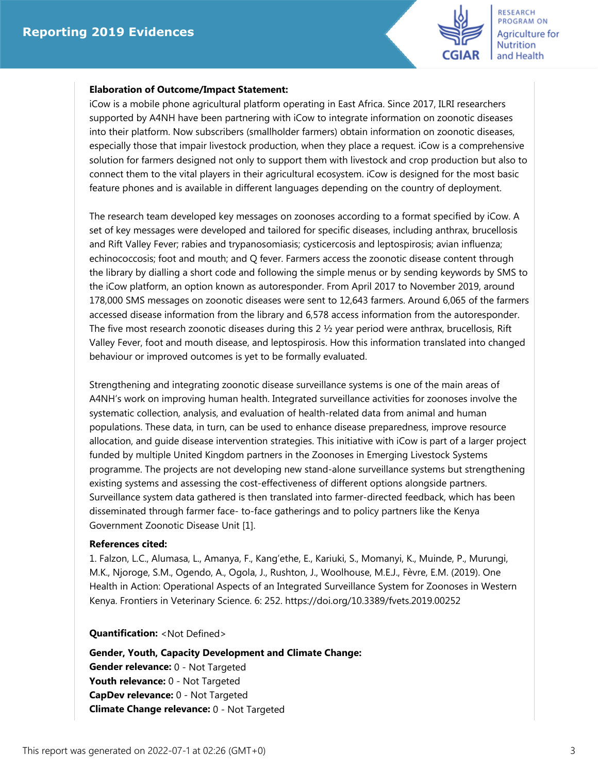

**RESEARCH PROGRAM ON Agriculture for Nutrition** and Health

## **Elaboration of Outcome/Impact Statement:**

iCow is a mobile phone agricultural platform operating in East Africa. Since 2017, ILRI researchers supported by A4NH have been partnering with iCow to integrate information on zoonotic diseases into their platform. Now subscribers (smallholder farmers) obtain information on zoonotic diseases, especially those that impair livestock production, when they place a request. iCow is a comprehensive solution for farmers designed not only to support them with livestock and crop production but also to connect them to the vital players in their agricultural ecosystem. iCow is designed for the most basic feature phones and is available in different languages depending on the country of deployment.

The research team developed key messages on zoonoses according to a format specified by iCow. A set of key messages were developed and tailored for specific diseases, including anthrax, brucellosis and Rift Valley Fever; rabies and trypanosomiasis; cysticercosis and leptospirosis; avian influenza; echinococcosis; foot and mouth; and Q fever. Farmers access the zoonotic disease content through the library by dialling a short code and following the simple menus or by sending keywords by SMS to the iCow platform, an option known as autoresponder. From April 2017 to November 2019, around 178,000 SMS messages on zoonotic diseases were sent to 12,643 farmers. Around 6,065 of the farmers accessed disease information from the library and 6,578 access information from the autoresponder. The five most research zoonotic diseases during this 2 ½ year period were anthrax, brucellosis, Rift Valley Fever, foot and mouth disease, and leptospirosis. How this information translated into changed behaviour or improved outcomes is yet to be formally evaluated.

Strengthening and integrating zoonotic disease surveillance systems is one of the main areas of A4NH's work on improving human health. Integrated surveillance activities for zoonoses involve the systematic collection, analysis, and evaluation of health-related data from animal and human populations. These data, in turn, can be used to enhance disease preparedness, improve resource allocation, and guide disease intervention strategies. This initiative with iCow is part of a larger project funded by multiple United Kingdom partners in the Zoonoses in Emerging Livestock Systems programme. The projects are not developing new stand-alone surveillance systems but strengthening existing systems and assessing the cost-effectiveness of different options alongside partners. Surveillance system data gathered is then translated into farmer-directed feedback, which has been disseminated through farmer face- to-face gatherings and to policy partners like the Kenya Government Zoonotic Disease Unit [1].

# **References cited:**

1. Falzon, L.C., Alumasa, L., Amanya, F., Kang'ethe, E., Kariuki, S., Momanyi, K., Muinde, P., Murungi, M.K., Njoroge, S.M., Ogendo, A., Ogola, J., Rushton, J., Woolhouse, M.E.J., Fèvre, E.M. (2019). One Health in Action: Operational Aspects of an Integrated Surveillance System for Zoonoses in Western Kenya. Frontiers in Veterinary Science. 6: 252. https://doi.org/10.3389/fvets.2019.00252

# **Quantification:** <Not Defined>

**Gender, Youth, Capacity Development and Climate Change: Gender relevance:** 0 - Not Targeted **Youth relevance:** 0 - Not Targeted **CapDev relevance:** 0 - Not Targeted **Climate Change relevance:** 0 - Not Targeted